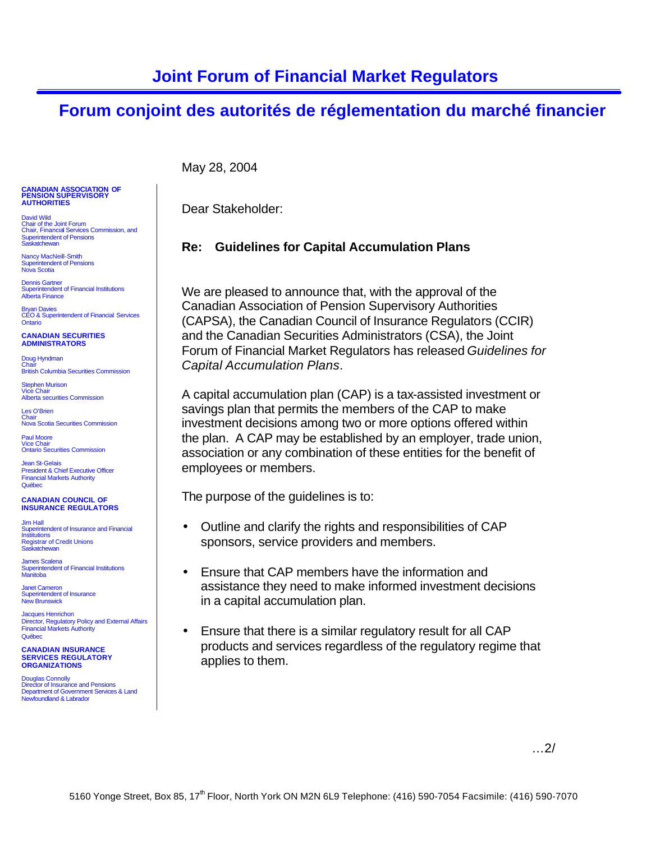## **Forum conjoint des autorités de réglementation du marché financier**

May 28, 2004

Dear Stakeholder:

#### **Re: Guidelines for Capital Accumulation Plans**

We are pleased to announce that, with the approval of the Canadian Association of Pension Supervisory Authorities (CAPSA), the Canadian Council of Insurance Regulators (CCIR) and the Canadian Securities Administrators (CSA), the Joint Forum of Financial Market Regulators has released *Guidelines for Capital Accumulation Plans*.

A capital accumulation plan (CAP) is a tax-assisted investment or savings plan that permits the members of the CAP to make investment decisions among two or more options offered within the plan. A CAP may be established by an employer, trade union, association or any combination of these entities for the benefit of employees or members.

The purpose of the guidelines is to:

- Outline and clarify the rights and responsibilities of CAP sponsors, service providers and members.
- Ensure that CAP members have the information and assistance they need to make informed investment decisions in a capital accumulation plan.
- Ensure that there is a similar regulatory result for all CAP products and services regardless of the regulatory regime that applies to them.

…2/

# **CANADIAN ASSOCIATION OF PENSION SUPERVISORY AUTHORITIES**

David Wild Chair of the Joint Forum Chair, Financial Services Commission, and Superintendent of Pensions Saskatchewan

Nancy MacNeill-Smith Superintendent of Pensions Nova Scotia

Dennis Gartner Superintendent of Financial Institutions Alberta Finance

Bryan Davies CEO & Superintendent of Financial Services **Ontario** 

 **CANADIAN SECURITIES ADMINISTRATORS**

Doug Hyndman Chair British Columbia Securities Commission

Stephen Murison Vice Chair Alberta securities Commission

Les O'Brien Chair Nova Scotia Securities Commission

Paul Moore Vice Chair Ontario Securities Commission

Jean St-Gelais President & Chief Executive Officer Financial Markets Authority Québec

**CANADIAN COUNCIL OF INSURANCE REGULATORS**

Jim Hall Superintendent of Insurance and Financial Institutions Registrar of Credit Unions Saskatchewan

James Scalena<br>Superintendent of Financial Institutions<br>Manitoba

Janet Cameron Superintendent of Insurance New Brunswick

Jacques Henrichon Director, Regulatory Policy and External Affairs Financial Markets Authority Québec

 **CANADIAN INSURANCE SERVICES REGULATORY ORGANIZATIONS**

Douglas Connolly Director of Insurance and Pensions Department of Government Services & Land Newfoundland & Labrador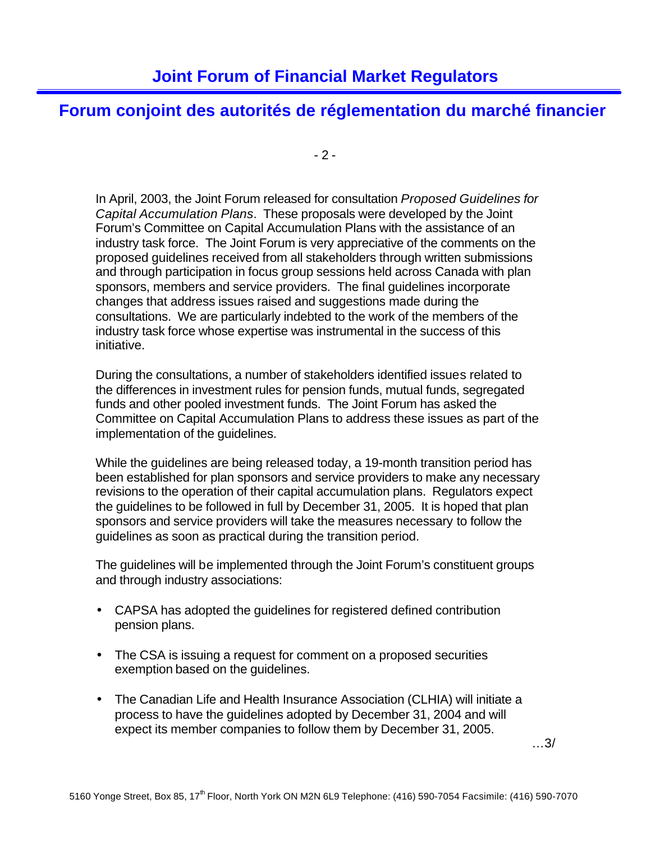### **Forum conjoint des autorités de réglementation du marché financier**

 $-2-$ 

In April, 2003, the Joint Forum released for consultation *Proposed Guidelines for Capital Accumulation Plans*. These proposals were developed by the Joint Forum's Committee on Capital Accumulation Plans with the assistance of an industry task force. The Joint Forum is very appreciative of the comments on the proposed guidelines received from all stakeholders through written submissions and through participation in focus group sessions held across Canada with plan sponsors, members and service providers. The final guidelines incorporate changes that address issues raised and suggestions made during the consultations. We are particularly indebted to the work of the members of the industry task force whose expertise was instrumental in the success of this initiative.

During the consultations, a number of stakeholders identified issues related to the differences in investment rules for pension funds, mutual funds, segregated funds and other pooled investment funds. The Joint Forum has asked the Committee on Capital Accumulation Plans to address these issues as part of the implementation of the guidelines.

While the guidelines are being released today, a 19-month transition period has been established for plan sponsors and service providers to make any necessary revisions to the operation of their capital accumulation plans. Regulators expect the guidelines to be followed in full by December 31, 2005. It is hoped that plan sponsors and service providers will take the measures necessary to follow the guidelines as soon as practical during the transition period.

The guidelines will be implemented through the Joint Forum's constituent groups and through industry associations:

- CAPSA has adopted the guidelines for registered defined contribution pension plans.
- The CSA is issuing a request for comment on a proposed securities exemption based on the guidelines.
- The Canadian Life and Health Insurance Association (CLHIA) will initiate a process to have the guidelines adopted by December 31, 2004 and will expect its member companies to follow them by December 31, 2005.

…3/